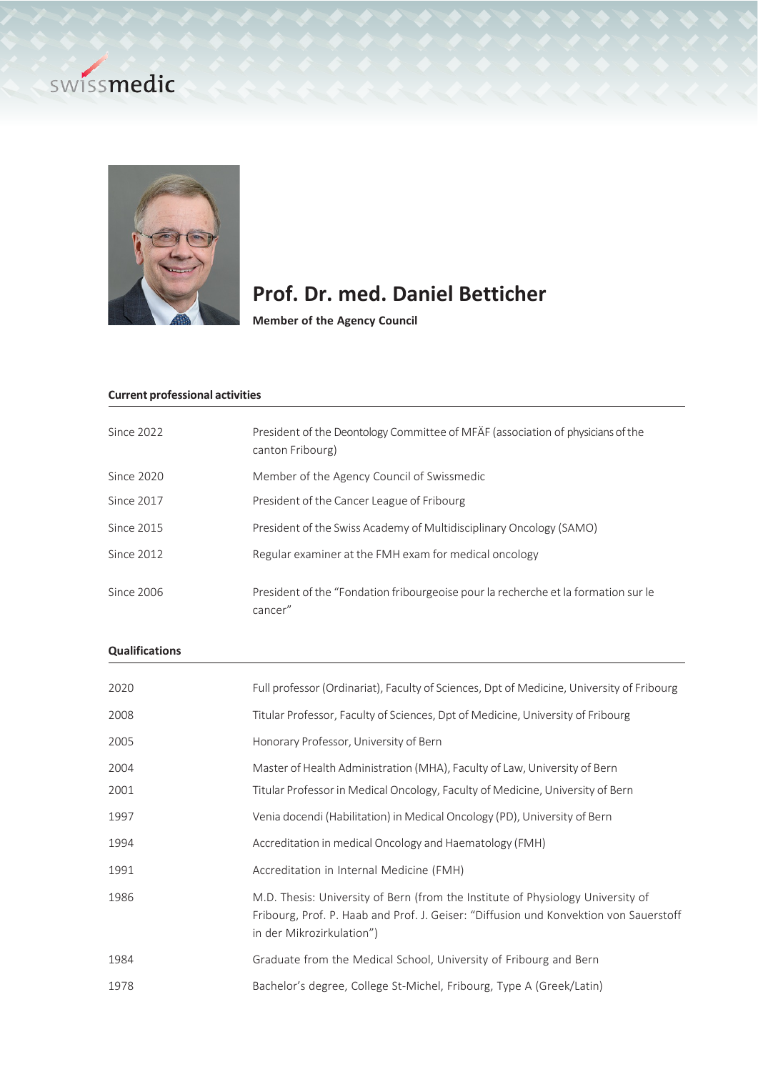



# **Prof. Dr. med. Daniel Betticher**

**Member of the Agency Council**

## **Current professional activities**

| Since 2022   | President of the Deontology Committee of MFÄF (association of physicians of the<br>canton Fribourg) |
|--------------|-----------------------------------------------------------------------------------------------------|
| Since $2020$ | Member of the Agency Council of Swissmedic                                                          |
| Since 2017   | President of the Cancer League of Fribourg                                                          |
| Since 2015   | President of the Swiss Academy of Multidisciplinary Oncology (SAMO)                                 |
| Since 2012   | Regular examiner at the FMH exam for medical oncology                                               |
| Since 2006   | President of the "Fondation fribourgeoise pour la recherche et la formation sur le<br>cancer"       |

# **Qualifications**

| 2020 | Full professor (Ordinariat), Faculty of Sciences, Dpt of Medicine, University of Fribourg                                                                                                             |
|------|-------------------------------------------------------------------------------------------------------------------------------------------------------------------------------------------------------|
| 2008 | Titular Professor, Faculty of Sciences, Dpt of Medicine, University of Fribourg                                                                                                                       |
| 2005 | Honorary Professor, University of Bern                                                                                                                                                                |
| 2004 | Master of Health Administration (MHA), Faculty of Law, University of Bern                                                                                                                             |
| 2001 | Titular Professor in Medical Oncology, Faculty of Medicine, University of Bern                                                                                                                        |
| 1997 | Venia docendi (Habilitation) in Medical Oncology (PD), University of Bern                                                                                                                             |
| 1994 | Accreditation in medical Oncology and Haematology (FMH)                                                                                                                                               |
| 1991 | Accreditation in Internal Medicine (FMH)                                                                                                                                                              |
| 1986 | M.D. Thesis: University of Bern (from the Institute of Physiology University of<br>Fribourg, Prof. P. Haab and Prof. J. Geiser: "Diffusion und Konvektion von Sauerstoff<br>in der Mikrozirkulation") |
| 1984 | Graduate from the Medical School, University of Fribourg and Bern                                                                                                                                     |
| 1978 | Bachelor's degree, College St-Michel, Fribourg, Type A (Greek/Latin)                                                                                                                                  |